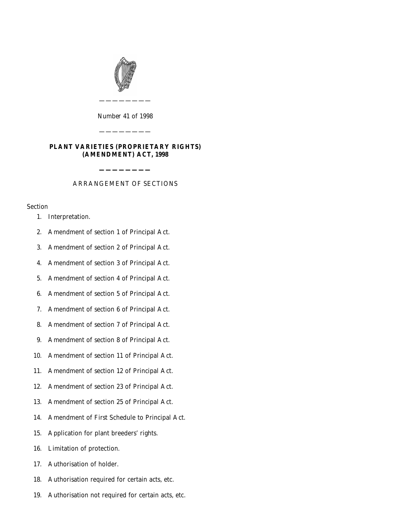

*Number* 41 *of* 1998

————————

# **PLANT VARIETIES (PROPRIETARY RIGHTS) (AMENDMENT) ACT, 1998**

————————

# **————————** ARRANGEMENT OF SECTIONS

# Section

- [1. Interpretation.](#page-2-0)
- [2. Amendment of section 1 of Principal Act.](#page-3-0)
- [3. Amendment of section 2 of Principal Act.](#page-4-0)
- [4. Amendment of section 3 of Principal Act.](#page-4-0)
- [5. Amendment of section 4 of Principal Act.](#page-5-0)
- [6. Amendment of section 5 of Principal Act.](#page-6-0)
- [7. Amendment of section 6 of Principal Act.](#page-7-0)
- [8. Amendment of section 7 of Principal Act.](#page-7-0)
- [9. Amendment of section 8 of Principal Act.](#page-8-0)
- [10. Amendment of section 11 of Principal Act.](#page-8-0)
- [11. Amendment of section 12 of Principal Act.](#page-9-0)
- [12. Amendment of section 23 of Principal Act.](#page-9-0)
- [13. Amendment of section 25 of Principal Act.](#page-10-0)
- [14. Amendment of First Schedule to Principal Act.](#page-10-0)
- [15. Application for plant breeders' rights.](#page-11-0)
- [16. Limitation of protection.](#page-13-0)
- [17. Authorisation of holder.](#page-13-0)
- [18. Authorisation required for certain acts, etc.](#page-13-0)
- [19. Authorisation not required for certain acts, etc.](#page-14-0)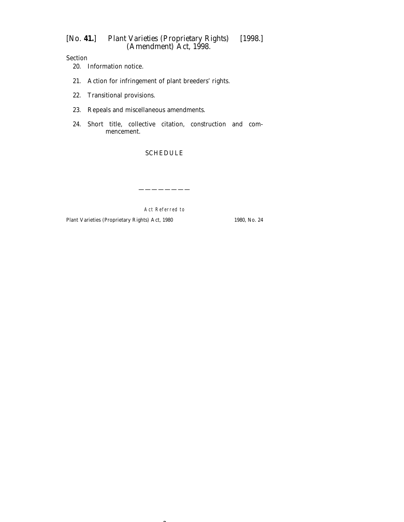Section

- [20. Information notice.](#page-15-0)
- [21. Action for infringement of plant breeders' rights.](#page-17-0)
- [22. Transitional provisions.](#page-17-0)
- [23. Repeals and miscellaneous amendments.](#page-17-0)
- [24. Short title, collective citation, construction and com](#page-18-0)mencement.

### [SCHEDULE](#page-19-0)

Act Referred to

————————

 $\sim$ 

Plant Varieties (Proprietary Rights) Act, 1980 1980, No. 24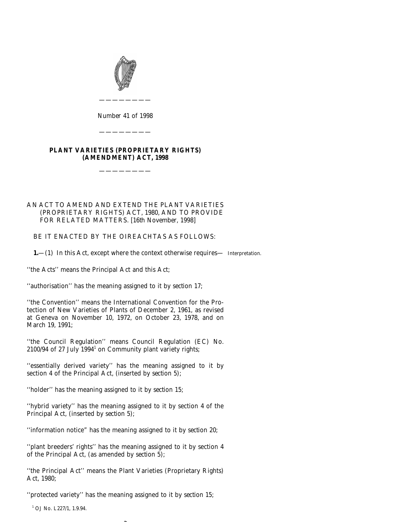<span id="page-2-0"></span>

*Number* 41 *of* 1998

————————

————————

# **PLANT VARIETIES (PROPRIETARY RIGHTS) (AMENDMENT) ACT, 1998**

————————

### AN ACT TO AMEND AND EXTEND THE PLANT VARIETIES (PROPRIETARY RIGHTS) ACT, 1980, AND TO PROVIDE FOR RELATED MATTERS. [16*th November,* 1998]

BE IT ENACTED BY THE OIREACHTAS AS FOLLOWS:

**1.**—(1) In this Act, except where the context otherwise requires— Interpretation.

''the Acts'' means the Principal Act and this Act;

''authorisation'' has the meaning assigned to it by *section 17*;

''the Convention'' means the International Convention for the Protection of New Varieties of Plants of December 2, 1961, as revised at Geneva on November 10, 1972, on October 23, 1978, and on March 19, 1991;

''the Council Regulation'' means Council Regulation (EC) No.  $2100/94$  of 27 July 1994<sup>1</sup> on Community plant variety rights;

''essentially derived variety'' has the meaning assigned to it by section 4 of the Principal Act, (inserted by *section 5*);

''holder'' has the meaning assigned to it by *section 15*;

''hybrid variety'' has the meaning assigned to it by section 4 of the Principal Act, (inserted by *section 5*);

''information notice" has the meaning assigned to it by *section 20*;

''plant breeders' rights'' has the meaning assigned to it by section 4 of the Principal Act, (as amended by *section 5*);

''the Principal Act'' means the Plant Varieties (Proprietary Rights) Act, 1980;

''protected variety'' has the meaning assigned to it by *section 15*;

<sup>1</sup> OJ No. L227/1, 1.9.94.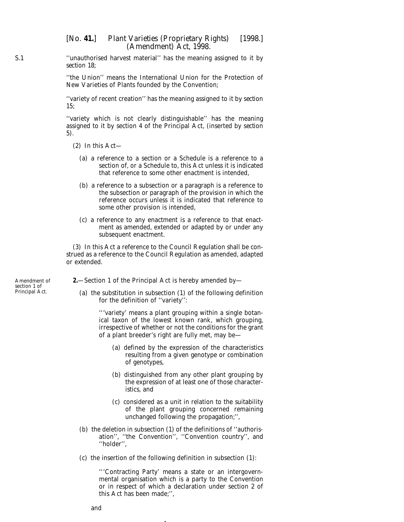<span id="page-3-0"></span>''unauthorised harvest material'' has the meaning assigned to it by *section 18*;

''the Union'' means the International Union for the Protection of New Varieties of Plants founded by the Convention;

''variety of recent creation'' has the meaning assigned to it by *section 15*;

''variety which is not clearly distinguishable'' has the meaning assigned to it by section 4 of the Principal Act, (inserted by *section 5*).

- (2) In this Act—
	- (*a*) a reference to a section or a Schedule is a reference to a section of, or a Schedule to, this Act unless it is indicated that reference to some other enactment is intended,
	- (*b*) a reference to a subsection or a paragraph is a reference to the subsection or paragraph of the provision in which the reference occurs unless it is indicated that reference to some other provision is intended,
	- (*c*) a reference to any enactment is a reference to that enactment as amended, extended or adapted by or under any subsequent enactment.

(3) In this Act a reference to the Council Regulation shall be construed as a reference to the Council Regulation as amended, adapted or extended.

**2.**—Section 1 of the Principal Act is hereby amended by—

(*a*) the substitution in subsection (1) of the following definition for the definition of ''variety'':

> '''variety' means a plant grouping within a single botanical taxon of the lowest known rank, which grouping, irrespective of whether or not the conditions for the grant of a plant breeder's right are fully met, may be—

- (*a*) defined by the expression of the characteristics resulting from a given genotype or combination of genotypes,
- (*b*) distinguished from any other plant grouping by the expression of at least one of those characteristics, and
- (*c*) considered as a unit in relation to the suitability of the plant grouping concerned remaining unchanged following the propagation;'',
- (*b*) the deletion in subsection (1) of the definitions of ''authorisation'', ''the Convention'', ''Convention country'', and ''holder'',
- (*c*) the insertion of the following definition in subsection (1):

4

'''Contracting Party' means a state or an intergovernmental organisation which is a party to the Convention or in respect of which a declaration under section 2 of this Act has been made;'',

Amendment of section 1 of Principal Act.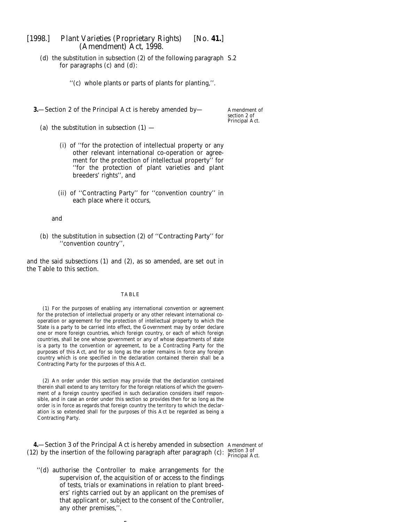<span id="page-4-0"></span>(*d*) the substitution in subsection (2) of the following paragraph S.2 for paragraphs (*c*) and (*d*):

''(*c*) whole plants or parts of plants for planting,''.

**3.**—Section 2 of the Principal Act is hereby amended by—

Amendment of section 2 of Principal Act.

- (*a*) the substitution in subsection  $(1)$ 
	- (i) of ''for the protection of intellectual property or any other relevant international co-operation or agreement for the protection of intellectual property'' for ''for the protection of plant varieties and plant breeders' rights'', and
	- (ii) of ''Contracting Party'' for ''convention country'' in each place where it occurs,

and

(*b*) the substitution in subsection (2) of ''Contracting Party'' for ''convention country'',

and the said subsections (1) and (2), as so amended, are set out in the Table to this section.

#### TABLE

(1) For the purposes of enabling any international convention or agreement for the protection of intellectual property or any other relevant international cooperation or agreement for the protection of intellectual property to which the State is a party to be carried into effect, the Government may by order declare one or more foreign countries, which foreign country, or each of which foreign countries, shall be one whose government or any of whose departments of state is a party to the convention or agreement, to be a Contracting Party for the purposes of this Act, and for so long as the order remains in force any foreign country which is one specified in the declaration contained therein shall be a Contracting Party for the purposes of this Act.

(2) An order under this section may provide that the declaration contained therein shall extend to any territory for the foreign relations of which the government of a foreign country specified in such declaration considers itself responsible, and in case an order under this section so provides then for so long as the order is in force as regards that foreign country the territory to which the declaration is so extended shall for the purposes of this Act be regarded as being a Contracting Party.

**4.**—Section 3 of the Principal Act is hereby amended in subsection Amendment of (12) by the insertion of the following paragraph after paragraph  $(c)$ :  $\frac{\text{section 3 of}}{\text{Principal Act.}}$ 

''(*d*) authorise the Controller to make arrangements for the supervision of, the acquisition of or access to the findings of tests, trials or examinations in relation to plant breeders' rights carried out by an applicant on the premises of that applicant or, subject to the consent of the Controller, any other premises,''.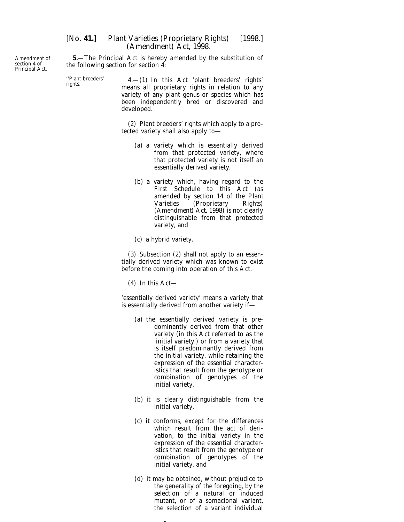**5.**—The Principal Act is hereby amended by the substitution of the following section for section 4:

''Plant breeders' 4.—(1) In this Act 'plant breeders' rights' rights. means all proprietary rights in relation to any variety of any plant genus or species which has been independently bred or discovered and developed.

> (2) Plant breeders' rights which apply to a protected variety shall also apply to—

- (*a*) a variety which is essentially derived from that protected variety, where that protected variety is not itself an essentially derived variety,
- (*b*) a variety which, having regard to the First Schedule to this Act (as amended by *section 14* of the *Plant Varieties (Proprietary Rights) (Amendment) Act, 1998*) is not clearly distinguishable from that protected variety, and

(*c*) a hybrid variety.

(3) Subsection (2) shall not apply to an essentially derived variety which was known to exist before the coming into operation of this Act.

(4) In this Act—

'essentially derived variety' means a variety that is essentially derived from another variety if—

- (*a*) the essentially derived variety is predominantly derived from that other variety (in this Act referred to as the 'initial variety') or from a variety that is itself predominantly derived from the initial variety, while retaining the expression of the essential characteristics that result from the genotype or combination of genotypes of the initial variety,
- (*b*) it is clearly distinguishable from the initial variety,
- (*c*) it conforms, except for the differences which result from the act of derivation, to the initial variety in the expression of the essential characteristics that result from the genotype or combination of genotypes of the initial variety, and
- (*d*) it may be obtained, without prejudice to the generality of the foregoing, by the selection of a natural or induced mutant, or of a somaclonal variant, the selection of a variant individual

 $\sim$ 

<span id="page-5-0"></span>Amendment of section 4 of Principal Act.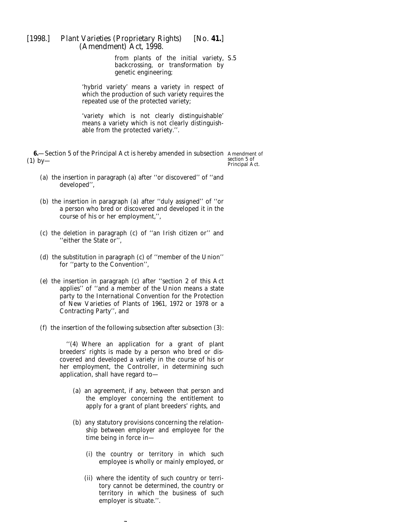from plants of the initial variety, S.5 backcrossing, or transformation by genetic engineering;

<span id="page-6-0"></span>'hybrid variety' means a variety in respect of which the production of such variety requires the repeated use of the protected variety;

'variety which is not clearly distinguishable' means a variety which is not clearly distinguishable from the protected variety.''.

**6.**—Section 5 of the Principal Act is hereby amended in subsection Amendment of  $(1)$  by—

section 5 of Principal Act.

- (*a*) the insertion in paragraph (*a*) after ''or discovered'' of ''and developed'',
- (*b*) the insertion in paragraph (*a*) after ''duly assigned'' of ''or a person who bred or discovered and developed it in the course of his or her employment,'',
- (*c*) the deletion in paragraph (*c*) of ''an Irish citizen or'' and ''either the State or'',
- (*d*) the substitution in paragraph (*c*) of ''member of the Union'' for ''party to the Convention'',
- (*e*) the insertion in paragraph (*c*) after ''section 2 of this Act applies'' of ''and a member of the Union means a state party to the International Convention for the Protection of New Varieties of Plants of 1961, 1972 or 1978 or a Contracting Party'', and
- (*f*) the insertion of the following subsection after subsection (3):

''(4) Where an application for a grant of plant breeders' rights is made by a person who bred or discovered and developed a variety in the course of his or her employment, the Controller, in determining such application, shall have regard to—

- (*a*) an agreement, if any, between that person and the employer concerning the entitlement to apply for a grant of plant breeders' rights, and
- (*b*) any statutory provisions concerning the relationship between employer and employee for the time being in force in—
	- (i) the country or territory in which such employee is wholly or mainly employed, or
	- (ii) where the identity of such country or territory cannot be determined, the country or territory in which the business of such employer is situate.''.

-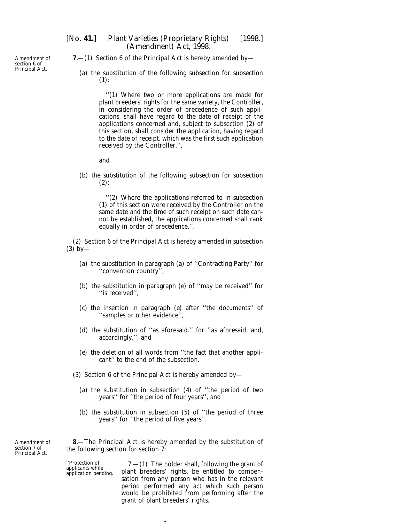<span id="page-7-0"></span>Amendment of section 6 of Principal Act.

- [*No.* **41.**] *Plant Varieties (Proprietary Rights)* [1998.] *(Amendment) Act,* 1998.
	- **7.**—(1) Section 6 of the Principal Act is hereby amended by—
		- (*a*) the substitution of the following subsection for subsection (1):

''(1) Where two or more applications are made for plant breeders' rights for the same variety, the Controller, in considering the order of precedence of such applications, shall have regard to the date of receipt of the applications concerned and, subject to subsection (2) of this section, shall consider the application, having regard to the date of receipt, which was the first such application received by the Controller.'',

and

(*b*) the substitution of the following subsection for subsection  $(2)$ :

> ''(2) Where the applications referred to in subsection (1) of this section were received by the Controller on the same date and the time of such receipt on such date cannot be established, the applications concerned shall rank equally in order of precedence.''.

(2) Section 6 of the Principal Act is hereby amended in subsection (3) by—

- (*a*) the substitution in paragraph (*a*) of ''Contracting Party'' for ''convention country'',
- (*b*) the substitution in paragraph (*e*) of ''may be received'' for "is received",
- (*c*) the insertion in paragraph (*e*) after ''the documents'' of ''samples or other evidence'',
- (*d*) the substitution of ''as aforesaid.'' for ''as aforesaid, and, accordingly,'', and
- (*e*) the deletion of all words from ''the fact that another applicant'' to the end of the subsection.
- (3) Section 6 of the Principal Act is hereby amended by—
	- (*a*) the substitution in subsection (4) of ''the period of two years'' for ''the period of four years'', and
	- (*b*) the substitution in subsection (5) of ''the period of three years'' for ''the period of five years''.

Amendment of section 7 of Principal Act.

**8.**—The Principal Act is hereby amended by the substitution of the following section for section 7:

 $\overline{\phantom{a}}$ 

''Protection of 7.—(1) The holder shall, following the grant of applicants while plant breeders' rights, be entitled to compen- application pending. sation from any person who has in the relevant period performed any act which such person would be prohibited from performing after the grant of plant breeders' rights.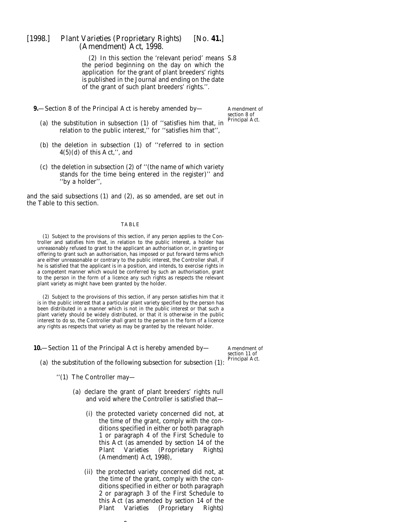<span id="page-8-0"></span>(2) In this section the 'relevant period' means S.8 the period beginning on the day on which the application for the grant of plant breeders' rights is published in the Journal and ending on the date of the grant of such plant breeders' rights.''.

**9.**—Section 8 of the Principal Act is hereby amended by—

Amendment of section 8 of Principal Act.

- (*a*) the substitution in subsection (1) of ''satisfies him that, in relation to the public interest,'' for ''satisfies him that'',
- (*b*) the deletion in subsection (1) of ''referred to in section 4(5)(*d*) of this Act,'', and
- (*c*) the deletion in subsection (2) of ''(the name of which variety stands for the time being entered in the register)'' and ''by a holder'',

and the said subsections (1) and (2), as so amended, are set out in the Table to this section.

#### TABLE

(1) Subject to the provisions of this section, if any person applies to the Controller and satisfies him that, in relation to the public interest, a holder has unreasonably refused to grant to the applicant an authorisation or, in granting or offering to grant such an authorisation, has imposed or put forward terms which are either unreasonable or contrary to the public interest, the Controller shall, if he is satisfied that the applicant is in a position, and intends, to exercise rights in a competent manner which would be conferred by such an authorisation, grant to the person in the form of a licence any such rights as respects the relevant plant variety as might have been granted by the holder.

(2) Subject to the provisions of this section, if any person satisfies him that it is in the public interest that a particular plant variety specified by the person has been distributed in a manner which is not in the public interest or that such a plant variety should be widely distributed, or that it is otherwise in the public interest to do so, the Controller shall grant to the person in the form of a licence any rights as respects that variety as may be granted by the relevant holder.

**10.**—Section 11 of the Principal Act is hereby amended by—

Amendment of section 11 of Principal Act.

- (*a*) the substitution of the following subsection for subsection (1):
	- ''(1) The Controller may—
		- (*a*) declare the grant of plant breeders' rights null and void where the Controller is satisfied that—
			- (i) the protected variety concerned did not, at the time of the grant, comply with the conditions specified in either or both paragraph 1 or paragraph 4 of the First Schedule to this Act (as amended by *section 14* of the *Plant Varieties (Proprietary Rights) (Amendment) Act, 1998*),
			- (ii) the protected variety concerned did not, at the time of the grant, comply with the conditions specified in either or both paragraph 2 or paragraph 3 of the First Schedule to this Act (as amended by *section 14* of the *Plant Varieties (Proprietary Rights)*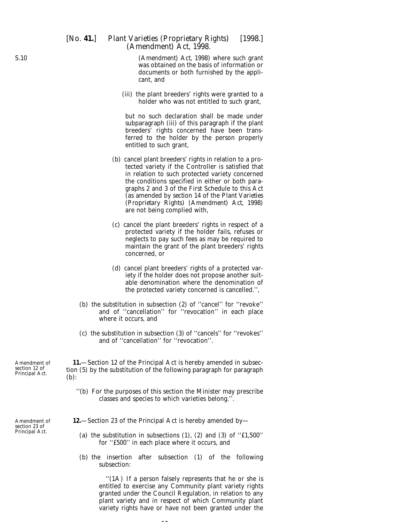<span id="page-9-0"></span>*(Amendment) Act, 1998*) where such grant was obtained on the basis of information or documents or both furnished by the applicant, and

(iii) the plant breeders' rights were granted to a holder who was not entitled to such grant,

but no such declaration shall be made under subparagraph (iii) of this paragraph if the plant breeders' rights concerned have been transferred to the holder by the person properly entitled to such grant,

- (*b*) cancel plant breeders' rights in relation to a protected variety if the Controller is satisfied that in relation to such protected variety concerned the conditions specified in either or both paragraphs 2 and 3 of the First Schedule to this Act (as amended by *section 14* of the *Plant Varieties (Proprietary Rights) (Amendment) Act, 1998*) are not being complied with,
- (*c*) cancel the plant breeders' rights in respect of a protected variety if the holder fails, refuses or neglects to pay such fees as may be required to maintain the grant of the plant breeders' rights concerned, or
- (*d*) cancel plant breeders' rights of a protected variety if the holder does not propose another suitable denomination where the denomination of the protected variety concerned is cancelled.'',
- (*b*) the substitution in subsection (2) of ''cancel'' for ''revoke'' and of ''cancellation'' for ''revocation'' in each place where it occurs, and
- (*c*) the substitution in subsection (3) of ''cancels'' for ''revokes'' and of ''cancellation'' for ''revocation''.

**11.**—Section 12 of the Principal Act is hereby amended in subsection (5) by the substitution of the following paragraph for paragraph (*b*):

- ''(*b*) For the purposes of this section the Minister may prescribe classes and species to which varieties belong.''.
- **12.**—Section 23 of the Principal Act is hereby amended by—
	- (*a*) the substitution in subsections (1), (2) and (3) of ''£1,500'' for ''£500'' in each place where it occurs, and
	- (*b*) the insertion after subsection (1) of the following subsection:

 $\overline{10}$ 

''(1A) If a person falsely represents that he or she is entitled to exercise any Community plant variety rights granted under the Council Regulation, in relation to any plant variety and in respect of which Community plant variety rights have or have not been granted under the

Amendment of section 12 of Principal Act.

Amendment of section 23 of Principal Act.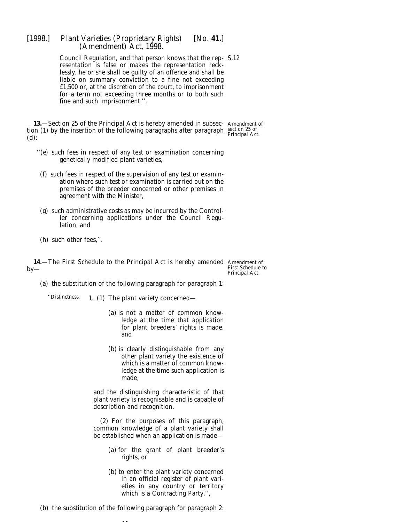<span id="page-10-0"></span>Council Regulation, and that person knows that the rep-S.12 resentation is false or makes the representation recklessly, he or she shall be guilty of an offence and shall be liable on summary conviction to a fine not exceeding £1,500 or, at the discretion of the court, to imprisonment for a term not exceeding three months or to both such fine and such imprisonment.''.

**13.**—Section 25 of the Principal Act is hereby amended in subsec- Amendment of tion (1) by the insertion of the following paragraphs after paragraph (*d*):

- ''(*e*) such fees in respect of any test or examination concerning genetically modified plant varieties,
	- (*f*) such fees in respect of the supervision of any test or examination where such test or examination is carried out on the premises of the breeder concerned or other premises in agreement with the Minister,
	- (*g*) such administrative costs as may be incurred by the Controller concerning applications under the Council Regulation, and
	- (*h*) such other fees,''.

**14.**—The First Schedule to the Principal Act is hereby amended Amendment of  $by-$ 

First Schedule to Principal Act.

(*a*) the substitution of the following paragraph for paragraph 1:

''Distinctness. 1. (1) The plant variety concerned—

- (*a*) is not a matter of common knowledge at the time that application for plant breeders' rights is made, and
- (*b*) is clearly distinguishable from any other plant variety the existence of which is a matter of common knowledge at the time such application is made,

and the distinguishing characteristic of that plant variety is recognisable and is capable of description and recognition.

(2) For the purposes of this paragraph, common knowledge of a plant variety shall be established when an application is made—

- (*a*) for the grant of plant breeder's rights, or
- (*b*) to enter the plant variety concerned in an official register of plant varieties in any country or territory which is a Contracting Party.'',
- (*b*) the substitution of the following paragraph for paragraph 2:

Amendment of section 25 of Principal Act.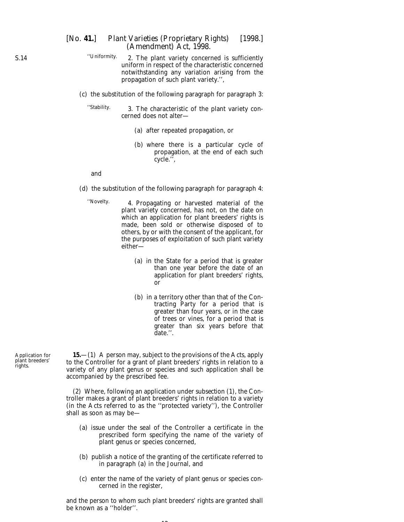- ''Uniformity. 2. The plant variety concerned is sufficiently uniform in respect of the characteristic concerned notwithstanding any variation arising from the propagation of such plant variety.'',
- (*c*) the substitution of the following paragraph for paragraph 3:

''Stability. 3. The characteristic of the plant variety concerned does not alter—

- (*a*) after repeated propagation, or
- (*b*) where there is a particular cycle of propagation, at the end of each such cycle.'',

and

(*d*) the substitution of the following paragraph for paragraph 4:

''Novelty. 4. Propagating or harvested material of the plant variety concerned, has not, on the date on which an application for plant breeders' rights is made, been sold or otherwise disposed of to others, by or with the consent of the applicant, for the purposes of exploitation of such plant variety either—

- (*a*) in the State for a period that is greater than one year before the date of an application for plant breeders' rights, or
- (*b*) in a territory other than that of the Contracting Party for a period that is greater than four years, or in the case of trees or vines, for a period that is greater than six years before that date.''.

Application for plant breeders' rights.

**15.**—(1) A person may, subject to the provisions of the Acts, apply to the Controller for a grant of plant breeders' rights in relation to a variety of any plant genus or species and such application shall be accompanied by the prescribed fee.

(2) Where, following an application under *subsection (1),* the Controller makes a grant of plant breeders' rights in relation to a variety (in the Acts referred to as the ''protected variety''), the Controller shall as soon as may be—

- (*a*) issue under the seal of the Controller a certificate in the prescribed form specifying the name of the variety of plant genus or species concerned,
- (*b*) publish a notice of the granting of the certificate referred to in *paragraph (a)* in the Journal, and
- (*c*) enter the name of the variety of plant genus or species concerned in the register,

and the person to whom such plant breeders' rights are granted shall be known as a ''holder''.

<span id="page-11-0"></span>S.14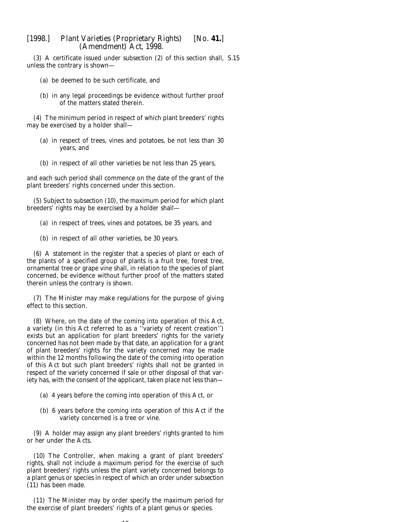(3) A certificate issued under *subsection (2)* of this section shall, S.15unless the contrary is shown—

- (*a*) be deemed to be such certificate, and
- (*b*) in any legal proceedings be evidence without further proof of the matters stated therein.

(4) The minimum period in respect of which plant breeders' rights may be exercised by a holder shall—

- (*a*) in respect of trees, vines and potatoes, be not less than 30 years, and
- (*b*) in respect of all other varieties be not less than 25 years,

and each such period shall commence on the date of the grant of the plant breeders' rights concerned under this section.

(5) Subject to *subsection (10)*, the maximum period for which plant breeders' rights may be exercised by a holder shall—

- (*a*) in respect of trees, vines and potatoes, be 35 years, and
- (*b*) in respect of all other varieties, be 30 years.

(6) A statement in the register that a species of plant or each of the plants of a specified group of plants is a fruit tree, forest tree, ornamental tree or grape vine shall, in relation to the species of plant concerned, be evidence without further proof of the matters stated therein unless the contrary is shown.

(7) The Minister may make regulations for the purpose of giving effect to this section.

(8) Where, on the date of the coming into operation of this Act, a variety (in this Act referred to as a ''variety of recent creation'') exists but an application for plant breeders' rights for the variety concerned has not been made by that date, an application for a grant of plant breeders' rights for the variety concerned may be made within the 12 months following the date of the coming into operation of this Act but such plant breeders' rights shall not be granted in respect of the variety concerned if sale or other disposal of that variety has, with the consent of the applicant, taken place not less than—

- (*a*) 4 years before the coming into operation of this Act, or
- (*b*) 6 years before the coming into operation of this Act if the variety concerned is a tree or vine.

(9) A holder may assign any plant breeders' rights granted to him or her under the Acts.

(10) The Controller, when making a grant of plant breeders' rights, shall not include a maximum period for the exercise of such plant breeders' rights unless the plant variety concerned belongs to a plant genus or species in respect of which an order under *subsection (11)* has been made.

(11) The Minister may by order specify the maximum period for the exercise of plant breeders' rights of a plant genus or species.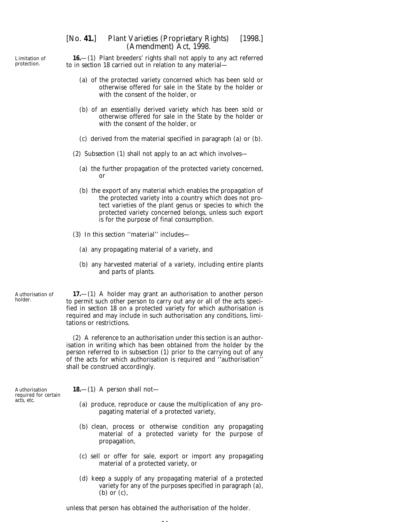**16.**—(1) Plant breeders' rights shall not apply to any act referred to in *section 18* carried out in relation to any material—

- (*a*) of the protected variety concerned which has been sold or otherwise offered for sale in the State by the holder or with the consent of the holder, or
- (*b*) of an essentially derived variety which has been sold or otherwise offered for sale in the State by the holder or with the consent of the holder, or
- (*c*) derived from the material specified in *paragraph (a)* or *(b).*
- (2) *Subsection (1)* shall not apply to an act which involves—
	- (*a*) the further propagation of the protected variety concerned, or
	- (*b*) the export of any material which enables the propagation of the protected variety into a country which does not protect varieties of the plant genus or species to which the protected variety concerned belongs, unless such export is for the purpose of final consumption.
- (3) In this section ''material'' includes—
	- (*a*) any propagating material of a variety, and
	- (*b*) any harvested material of a variety, including entire plants and parts of plants.

Authorisation of holder.

**17.**—(1) A holder may grant an authorisation to another person to permit such other person to carry out any or all of the acts specified in *section 18* on a protected variety for which authorisation is required and may include in such authorisation any conditions, limitations or restrictions.

(2) A reference to an authorisation under this section is an authorisation in writing which has been obtained from the holder by the person referred to in *subsection (1)* prior to the carrying out of any of the acts for which authorisation is required and ''authorisation'' shall be construed accordingly.

**18.**—(1) A person shall not—

- (*a*) produce, reproduce or cause the multiplication of any propagating material of a protected variety,
- (*b*) clean, process or otherwise condition any propagating material of a protected variety for the purpose of propagation,
- (*c*) sell or offer for sale, export or import any propagating material of a protected variety, or
- (*d*) keep a supply of any propagating material of a protected variety for any of the purposes specified in *paragraph (a), (b)* or *(c)*,

unless that person has obtained the authorisation of the holder.

Authorisation required for certain acts, etc.

<span id="page-13-0"></span>Limitation of protection.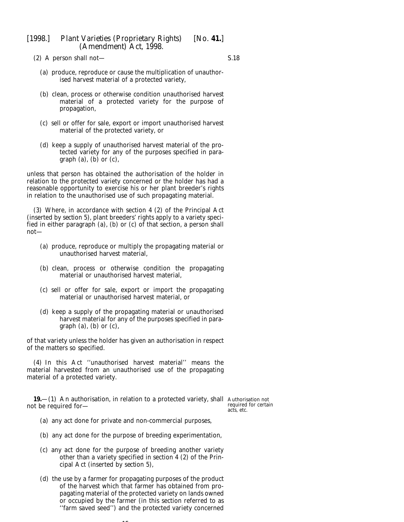<span id="page-14-0"></span>(2) A person shall not—

S.18

- (*a*) produce, reproduce or cause the multiplication of unauthorised harvest material of a protected variety,
- (*b*) clean, process or otherwise condition unauthorised harvest material of a protected variety for the purpose of propagation,
- (*c*) sell or offer for sale, export or import unauthorised harvest material of the protected variety, or
- (*d*) keep a supply of unauthorised harvest material of the protected variety for any of the purposes specified in *paragraph (a), (b)* or *(c)*,

unless that person has obtained the authorisation of the holder in relation to the protected variety concerned or the holder has had a reasonable opportunity to exercise his or her plant breeder's rights in relation to the unauthorised use of such propagating material.

(3) Where, in accordance with section 4 (2) of the Principal Act (inserted by *section 5*), plant breeders' rights apply to a variety specified in either paragraph (*a*), (*b*) or (*c*) of that section, a person shall not—

- (*a*) produce, reproduce or multiply the propagating material or unauthorised harvest material,
- (*b*) clean, process or otherwise condition the propagating material or unauthorised harvest material,
- (*c*) sell or offer for sale, export or import the propagating material or unauthorised harvest material, or
- (*d*) keep a supply of the propagating material or unauthorised harvest material for any of the purposes specified in *paragraph (a), (b)* or *(c)*,

of that variety unless the holder has given an authorisation in respect of the matters so specified.

(4) In this Act ''unauthorised harvest material'' means the material harvested from an unauthorised use of the propagating material of a protected variety.

**19.**—(1) An authorisation, in relation to a protected variety, shall Authorisation not not be required for—

required for certain acts, etc.

- (*a*) any act done for private and non-commercial purposes,
- (*b*) any act done for the purpose of breeding experimentation,
- (*c*) any act done for the purpose of breeding another variety other than a variety specified in section 4 (2) of the Principal Act (inserted by *section 5*),
- (*d*) the use by a farmer for propagating purposes of the product of the harvest which that farmer has obtained from propagating material of the protected variety on lands owned or occupied by the farmer (in this section referred to as ''farm saved seed'') and the protected variety concerned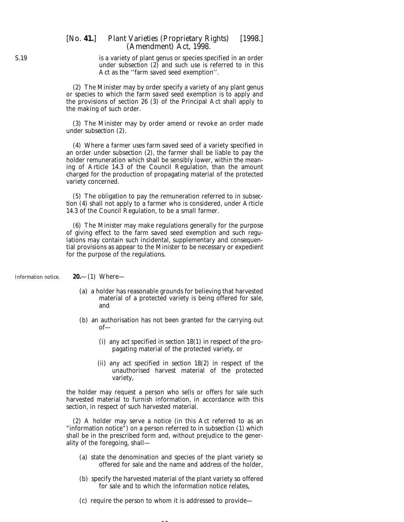## <span id="page-15-0"></span>[*No.* **41.**] *Plant Varieties (Proprietary Rights)* [1998.] *(Amendment) Act,* 1998.

is a variety of plant genus or species specified in an order under *subsection (2)* and such use is referred to in this Act as the ''farm saved seed exemption''.

(2) The Minister may by order specify a variety of any plant genus or species to which the farm saved seed exemption is to apply and the provisions of section 26 (3) of the Principal Act shall apply to the making of such order.

(3) The Minister may by order amend or revoke an order made under *subsection (2).*

(4) Where a farmer uses farm saved seed of a variety specified in an order under *subsection (2),* the farmer shall be liable to pay the holder remuneration which shall be sensibly lower, within the meaning of Article 14.3 of the Council Regulation, than the amount charged for the production of propagating material of the protected variety concerned.

(5) The obligation to pay the remuneration referred to in *subsection (4)* shall not apply to a farmer who is considered, under Article 14.3 of the Council Regulation, to be a small farmer.

(6) The Minister may make regulations generally for the purpose of giving effect to the farm saved seed exemption and such regulations may contain such incidental, supplementary and consequential provisions as appear to the Minister to be necessary or expedient for the purpose of the regulations.

Information notice.

**20.**—(1) Where—

- (*a*) a holder has reasonable grounds for believing that harvested material of a protected variety is being offered for sale, and
- (*b*) an authorisation has not been granted for the carrying out of—
	- (i) any act specified in *section 18(1)* in respect of the propagating material of the protected variety, or
	- (ii) any act specified in *section 18(2)* in respect of the unauthorised harvest material of the protected variety,

the holder may request a person who sells or offers for sale such harvested material to furnish information, in accordance with this section, in respect of such harvested material.

(2) A holder may serve a notice (in this Act referred to as an "information notice") on a person referred to in *subsection (1)* which shall be in the prescribed form and, without prejudice to the generality of the foregoing, shall—

- (*a*) state the denomination and species of the plant variety so offered for sale and the name and address of the holder,
- (*b*) specify the harvested material of the plant variety so offered for sale and to which the information notice relates,
- (*c*) require the person to whom it is addressed to provide—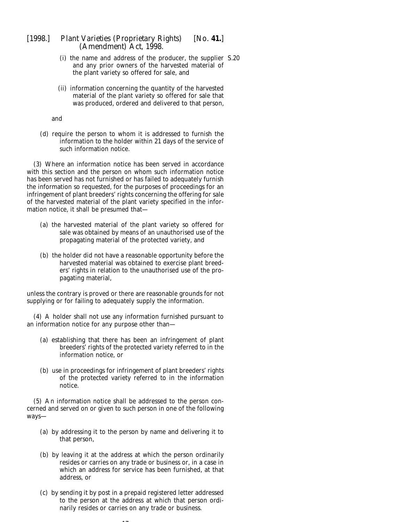- (i) the name and address of the producer, the supplier S.20and any prior owners of the harvested material of the plant variety so offered for sale, and
- (ii) information concerning the quantity of the harvested material of the plant variety so offered for sale that was produced, ordered and delivered to that person,

and

(*d*) require the person to whom it is addressed to furnish the information to the holder within 21 days of the service of such information notice.

(3) Where an information notice has been served in accordance with this section and the person on whom such information notice has been served has not furnished or has failed to adequately furnish the information so requested, for the purposes of proceedings for an infringement of plant breeders' rights concerning the offering for sale of the harvested material of the plant variety specified in the information notice, it shall be presumed that—

- (*a*) the harvested material of the plant variety so offered for sale was obtained by means of an unauthorised use of the propagating material of the protected variety, and
- (*b*) the holder did not have a reasonable opportunity before the harvested material was obtained to exercise plant breeders' rights in relation to the unauthorised use of the propagating material,

unless the contrary is proved or there are reasonable grounds for not supplying or for failing to adequately supply the information.

(4) A holder shall not use any information furnished pursuant to an information notice for any purpose other than—

- (*a*) establishing that there has been an infringement of plant breeders' rights of the protected variety referred to in the information notice, or
- (*b*) use in proceedings for infringement of plant breeders' rights of the protected variety referred to in the information notice.

(5) An information notice shall be addressed to the person concerned and served on or given to such person in one of the following ways—

- (*a*) by addressing it to the person by name and delivering it to that person,
- (*b*) by leaving it at the address at which the person ordinarily resides or carries on any trade or business or, in a case in which an address for service has been furnished, at that address, or
- (*c*) by sending it by post in a prepaid registered letter addressed to the person at the address at which that person ordinarily resides or carries on any trade or business.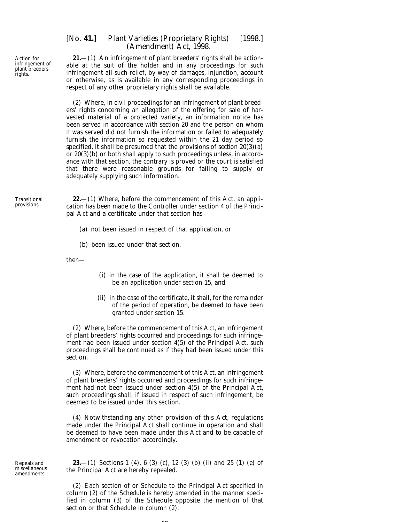# <span id="page-17-0"></span>[*No.* **41.**] *Plant Varieties (Proprietary Rights)* [1998.] *(Amendment) Act,* 1998.

**21.**—(1) An infringement of plant breeders' rights shall be actionable at the suit of the holder and in any proceedings for such infringement all such relief, by way of damages, injunction, account or otherwise, as is available in any corresponding proceedings in respect of any other proprietary rights shall be available.

(2) Where, in civil proceedings for an infringement of plant breeders' rights concerning an allegation of the offering for sale of harvested material of a protected variety, an information notice has been served in accordance with *section 20* and the person on whom it was served did not furnish the information or failed to adequately furnish the information so requested within the 21 day period so specified, it shall be presumed that the provisions of *section 20(3)(a)* or *20(3)(b)* or both shall apply to such proceedings unless, in accordance with that section, the contrary is proved or the court is satisfied that there were reasonable grounds for failing to supply or adequately supplying such information.

Transitional provisions.

**22.**—(1) Where, before the commencement of this Act, an application has been made to the Controller under section 4 of the Principal Act and a certificate under that section has—

- (*a*) not been issued in respect of that application, or
- (*b*) been issued under that section,

then—

- (i) in the case of the application, it shall be deemed to be an application under *section 15*, and
- (ii) in the case of the certificate, it shall, for the remainder of the period of operation, be deemed to have been granted under *section 15*.

(2) Where, before the commencement of this Act, an infringement of plant breeders' rights occurred and proceedings for such infringement had been issued under section 4(5) of the Principal Act, such proceedings shall be continued as if they had been issued under this section.

(3) Where, before the commencement of this Act, an infringement of plant breeders' rights occurred and proceedings for such infringement had not been issued under section 4(5) of the Principal Act, such proceedings shall, if issued in respect of such infringement, be deemed to be issued under this section.

(4) Notwithstanding any other provision of this Act, regulations made under the Principal Act shall continue in operation and shall be deemed to have been made under this Act and to be capable of amendment or revocation accordingly.

Repeals and miscellaneous amendments.

**23.**—(1) Sections 1 (4), 6 (3) (*c*), 12 (3) (*b*) (ii) and 25 (1) (*e*) of the Principal Act are hereby repealed.

(2) Each section of or Schedule to the Principal Act specified in *column (2)* of the *Schedule* is hereby amended in the manner specified in *column (3)* of the *Schedule* opposite the mention of that section or that Schedule in *column (2).*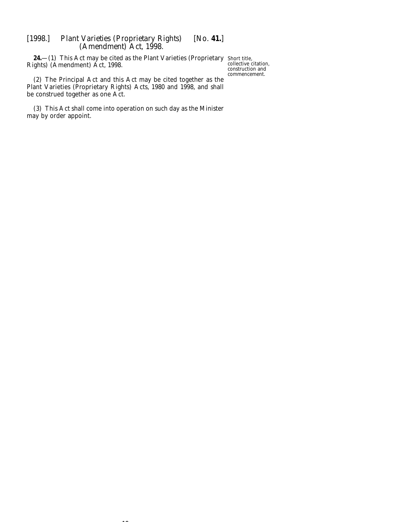<span id="page-18-0"></span>**24.**—(1) This Act may be cited as the Plant Varieties (Proprietary Short title, Rights) (Amendment) Act, 1998.

collective citation, construction and commencement.

(2) The Principal Act and this Act may be cited together as the Plant Varieties (Proprietary Rights) Acts, 1980 and 1998, and shall be construed together as one Act.

(3) This Act shall come into operation on such day as the Minister may by order appoint.